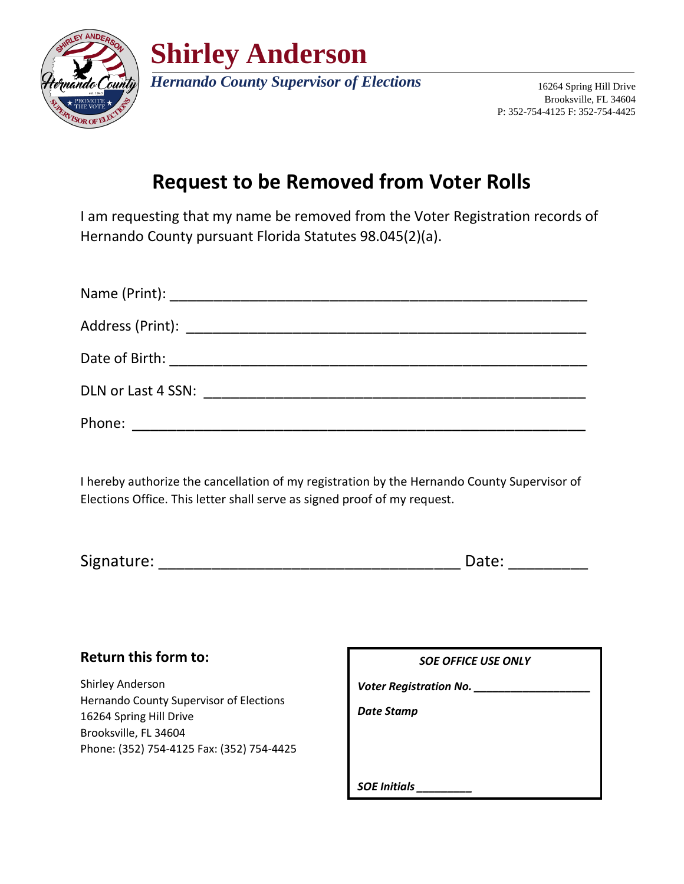

**Shirley Anderson**

*Hernando County Supervisor of Elections* 16264 Spring Hill Drive

Brooksville, FL 34604 P: 352-754-4125 F: 352-754-4425

## **Request to be Removed from Voter Rolls**

I am requesting that my name be removed from the Voter Registration records of Hernando County pursuant Florida Statutes 98.045(2)(a).

| Phone: |  |  |
|--------|--|--|

I hereby authorize the cancellation of my registration by the Hernando County Supervisor of Elections Office. This letter shall serve as signed proof of my request.

| Signature: | u uu |
|------------|------|
|------------|------|

## **Return this form to:**

Shirley Anderson Hernando County Supervisor of Elections 16264 Spring Hill Drive Brooksville, FL 34604 Phone: (352) 754-4125 Fax: (352) 754-4425

| <b>SOE OFFICE USE ONLY</b> |  |  |  |
|----------------------------|--|--|--|
| Voter Registration No.     |  |  |  |
| Date Stamp                 |  |  |  |
|                            |  |  |  |
|                            |  |  |  |
| <b>SOE Initials</b>        |  |  |  |